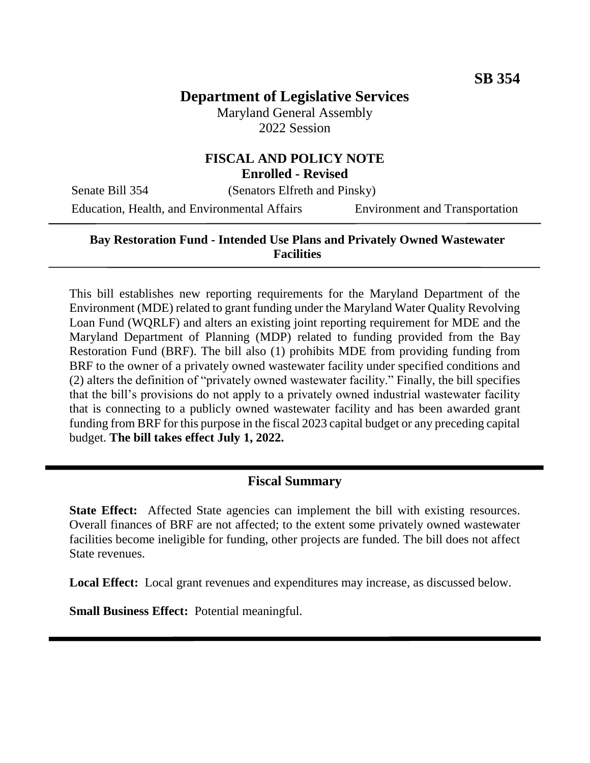# **Department of Legislative Services**

Maryland General Assembly 2022 Session

# **FISCAL AND POLICY NOTE**

**Enrolled - Revised**

Senate Bill 354 (Senators Elfreth and Pinsky)

Education, Health, and Environmental Affairs Environment and Transportation

## **Bay Restoration Fund - Intended Use Plans and Privately Owned Wastewater Facilities**

This bill establishes new reporting requirements for the Maryland Department of the Environment (MDE) related to grant funding under the Maryland Water Quality Revolving Loan Fund (WQRLF) and alters an existing joint reporting requirement for MDE and the Maryland Department of Planning (MDP) related to funding provided from the Bay Restoration Fund (BRF). The bill also (1) prohibits MDE from providing funding from BRF to the owner of a privately owned wastewater facility under specified conditions and (2) alters the definition of "privately owned wastewater facility." Finally, the bill specifies that the bill's provisions do not apply to a privately owned industrial wastewater facility that is connecting to a publicly owned wastewater facility and has been awarded grant funding from BRF for this purpose in the fiscal 2023 capital budget or any preceding capital budget. **The bill takes effect July 1, 2022.** 

## **Fiscal Summary**

**State Effect:** Affected State agencies can implement the bill with existing resources. Overall finances of BRF are not affected; to the extent some privately owned wastewater facilities become ineligible for funding, other projects are funded. The bill does not affect State revenues.

**Local Effect:** Local grant revenues and expenditures may increase, as discussed below.

**Small Business Effect:** Potential meaningful.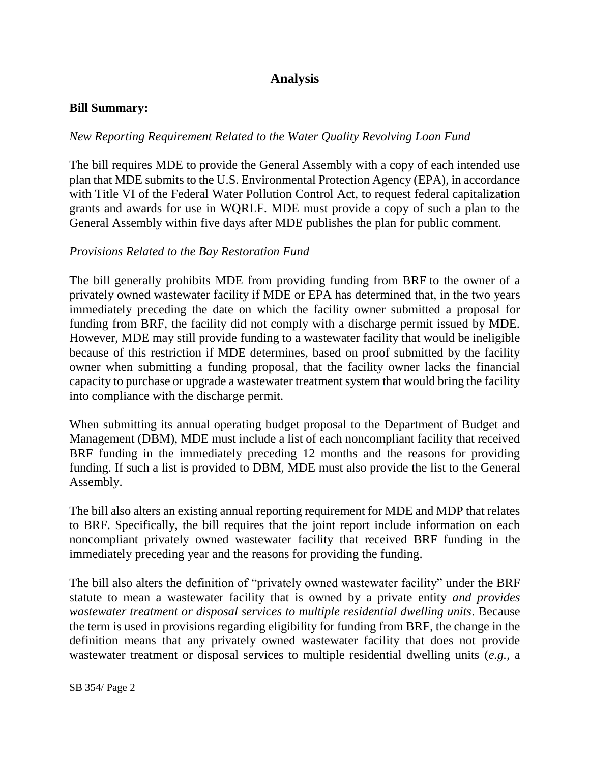## **Analysis**

#### **Bill Summary:**

#### *New Reporting Requirement Related to the Water Quality Revolving Loan Fund*

The bill requires MDE to provide the General Assembly with a copy of each intended use plan that MDE submits to the U.S. Environmental Protection Agency (EPA), in accordance with Title VI of the Federal Water Pollution Control Act, to request federal capitalization grants and awards for use in WQRLF. MDE must provide a copy of such a plan to the General Assembly within five days after MDE publishes the plan for public comment.

#### *Provisions Related to the Bay Restoration Fund*

The bill generally prohibits MDE from providing funding from BRF to the owner of a privately owned wastewater facility if MDE or EPA has determined that, in the two years immediately preceding the date on which the facility owner submitted a proposal for funding from BRF, the facility did not comply with a discharge permit issued by MDE. However, MDE may still provide funding to a wastewater facility that would be ineligible because of this restriction if MDE determines, based on proof submitted by the facility owner when submitting a funding proposal, that the facility owner lacks the financial capacity to purchase or upgrade a wastewater treatment system that would bring the facility into compliance with the discharge permit.

When submitting its annual operating budget proposal to the Department of Budget and Management (DBM), MDE must include a list of each noncompliant facility that received BRF funding in the immediately preceding 12 months and the reasons for providing funding. If such a list is provided to DBM, MDE must also provide the list to the General Assembly.

The bill also alters an existing annual reporting requirement for MDE and MDP that relates to BRF. Specifically, the bill requires that the joint report include information on each noncompliant privately owned wastewater facility that received BRF funding in the immediately preceding year and the reasons for providing the funding.

The bill also alters the definition of "privately owned wastewater facility" under the BRF statute to mean a wastewater facility that is owned by a private entity *and provides wastewater treatment or disposal services to multiple residential dwelling units*. Because the term is used in provisions regarding eligibility for funding from BRF, the change in the definition means that any privately owned wastewater facility that does not provide wastewater treatment or disposal services to multiple residential dwelling units (*e.g.*, a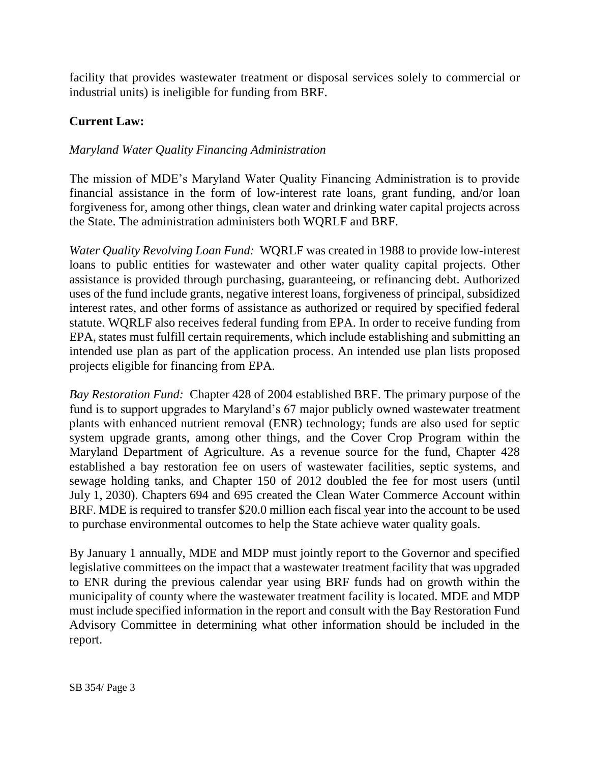facility that provides wastewater treatment or disposal services solely to commercial or industrial units) is ineligible for funding from BRF.

## **Current Law:**

#### *Maryland Water Quality Financing Administration*

The mission of MDE's Maryland Water Quality Financing Administration is to provide financial assistance in the form of low-interest rate loans, grant funding, and/or loan forgiveness for, among other things, clean water and drinking water capital projects across the State. The administration administers both WQRLF and BRF.

*Water Quality Revolving Loan Fund:* WQRLF was created in 1988 to provide low-interest loans to public entities for wastewater and other water quality capital projects. Other assistance is provided through purchasing, guaranteeing, or refinancing debt. Authorized uses of the fund include grants, negative interest loans, forgiveness of principal, subsidized interest rates, and other forms of assistance as authorized or required by specified federal statute. WQRLF also receives federal funding from EPA. In order to receive funding from EPA, states must fulfill certain requirements, which include establishing and submitting an intended use plan as part of the application process. An intended use plan lists proposed projects eligible for financing from EPA.

*Bay Restoration Fund:* Chapter 428 of 2004 established BRF. The primary purpose of the fund is to support upgrades to Maryland's 67 major publicly owned wastewater treatment plants with enhanced nutrient removal (ENR) technology; funds are also used for septic system upgrade grants, among other things, and the Cover Crop Program within the Maryland Department of Agriculture. As a revenue source for the fund, Chapter 428 established a bay restoration fee on users of wastewater facilities, septic systems, and sewage holding tanks, and Chapter 150 of 2012 doubled the fee for most users (until July 1, 2030). Chapters 694 and 695 created the Clean Water Commerce Account within BRF. MDE is required to transfer \$20.0 million each fiscal year into the account to be used to purchase environmental outcomes to help the State achieve water quality goals.

By January 1 annually, MDE and MDP must jointly report to the Governor and specified legislative committees on the impact that a wastewater treatment facility that was upgraded to ENR during the previous calendar year using BRF funds had on growth within the municipality of county where the wastewater treatment facility is located. MDE and MDP must include specified information in the report and consult with the Bay Restoration Fund Advisory Committee in determining what other information should be included in the report.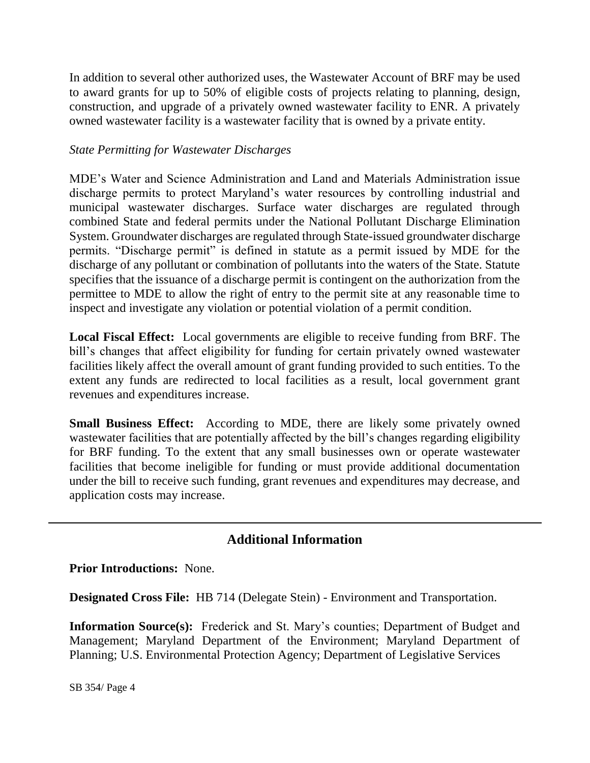In addition to several other authorized uses, the Wastewater Account of BRF may be used to award grants for up to 50% of eligible costs of projects relating to planning, design, construction, and upgrade of a privately owned wastewater facility to ENR. A privately owned wastewater facility is a wastewater facility that is owned by a private entity.

#### *State Permitting for Wastewater Discharges*

MDE's Water and Science Administration and Land and Materials Administration issue discharge permits to protect Maryland's water resources by controlling industrial and municipal wastewater discharges. Surface water discharges are regulated through combined State and federal permits under the National Pollutant Discharge Elimination System. Groundwater discharges are regulated through State-issued groundwater discharge permits. "Discharge permit" is defined in statute as a permit issued by MDE for the discharge of any pollutant or combination of pollutants into the waters of the State. Statute specifies that the issuance of a discharge permit is contingent on the authorization from the permittee to MDE to allow the right of entry to the permit site at any reasonable time to inspect and investigate any violation or potential violation of a permit condition.

**Local Fiscal Effect:** Local governments are eligible to receive funding from BRF. The bill's changes that affect eligibility for funding for certain privately owned wastewater facilities likely affect the overall amount of grant funding provided to such entities. To the extent any funds are redirected to local facilities as a result, local government grant revenues and expenditures increase.

**Small Business Effect:** According to MDE, there are likely some privately owned wastewater facilities that are potentially affected by the bill's changes regarding eligibility for BRF funding. To the extent that any small businesses own or operate wastewater facilities that become ineligible for funding or must provide additional documentation under the bill to receive such funding, grant revenues and expenditures may decrease, and application costs may increase.

## **Additional Information**

**Prior Introductions:** None.

**Designated Cross File:** HB 714 (Delegate Stein) - Environment and Transportation.

**Information Source(s):** Frederick and St. Mary's counties; Department of Budget and Management; Maryland Department of the Environment; Maryland Department of Planning; U.S. Environmental Protection Agency; Department of Legislative Services